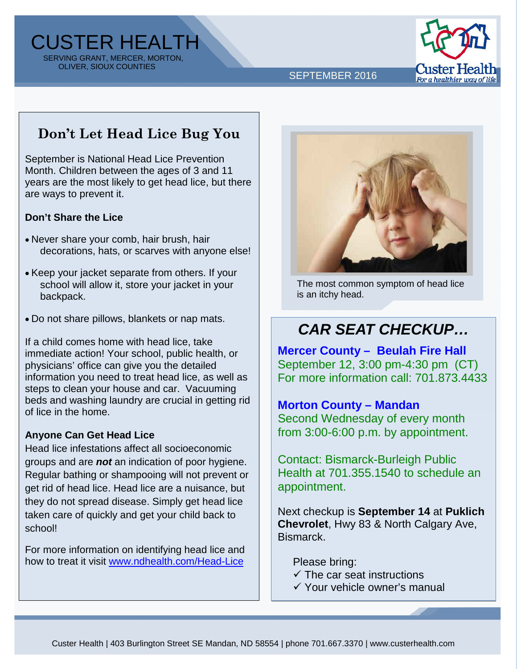CUSTER HEALTH SERVING GRANT, MERCER, MORTON, OLIVER, SIOUX COUNTIES



SEPTEMBER 2016

## **Don't Let Head Lice Bug You**

September is National Head Lice Prevention Month. Children between the ages of 3 and 11 years are the most likely to get head lice, but there are ways to prevent it.

#### **Don't Share the Lice**

- Never share your comb, hair brush, hair decorations, hats, or scarves with anyone else!
- Keep your jacket separate from others. If your school will allow it, store your jacket in your backpack.
- Do not share pillows, blankets or nap mats.

If a child comes home with head lice, take immediate action! Your school, public health, or physicians' office can give you the detailed information you need to treat head lice, as well as steps to clean your house and car. Vacuuming beds and washing laundry are crucial in getting rid of lice in the home.

#### **Anyone Can Get Head Lice**

Head lice infestations affect all socioeconomic groups and are *not* an indication of poor hygiene. Regular bathing or shampooing will not prevent or get rid of head lice. Head lice are a nuisance, but they do not spread disease. Simply get head lice taken care of quickly and get your child back to school!

For more information on identifying head lice and how to treat it visit [www.ndhealth.com/Head-Lice](http://www.ndhealth.gov/Head-Lice/)



The most common symptom of head lice is an itchy head.

# *CAR SEAT CHECKUP…*

**Mercer County – Beulah Fire Hall** September 12, 3:00 pm-4:30 pm (CT) For more information call: 701.873.4433

#### **Morton County – Mandan**

Second Wednesday of every month from 3:00-6:00 p.m. by appointment.

Contact: Bismarck-Burleigh Public Health at 701.355.1540 to schedule an appointment.

Next checkup is **September 14** at **Puklich Chevrolet**, Hwy 83 & North Calgary Ave, Bismarck.

Please bring:

- $\checkmark$  The car seat instructions
- Your vehicle owner's manual